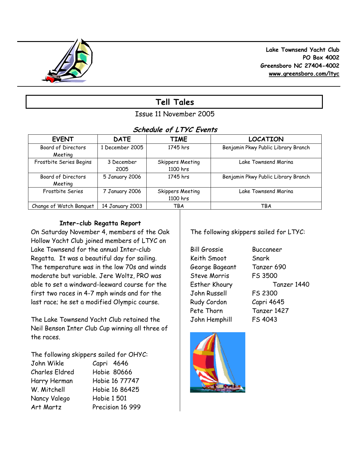

 **Lake Townsend Yacht Club PO Box 4002 Greensboro NC 27404-4002 www.greensboro.com/ltyc** 

# **Tell Tales**

## Issue 11 November 2005

## **Schedule of LTYC Events**

| <b>EVENT</b>              | <b>DATE</b>     | <b>TIME</b>             | <b>LOCATION</b>                     |
|---------------------------|-----------------|-------------------------|-------------------------------------|
| <b>Board of Directors</b> | 1 December 2005 | 1745 hrs                | Benjamin Pkwy Public Library Branch |
| Meeting                   |                 |                         |                                     |
| Frostbite Series Begins   | 3 December      | <b>Skippers Meeting</b> | Lake Townsend Marina                |
|                           | 2005            | 1100 hrs                |                                     |
| Board of Directors        | 5 January 2006  | 1745 hrs                | Benjamin Pkwy Public Library Branch |
| Meeting                   |                 |                         |                                     |
| Frostbite Series          | 7 January 2006  | <b>Skippers Meeting</b> | Lake Townsend Marina                |
|                           |                 | 1100 hrs                |                                     |
| Change of Watch Banguet   | 14 January 2003 | TBA                     | <b>TBA</b>                          |

### **Inter-club Regatta Report**

On Saturday November 4, members of the Oak Hollow Yacht Club joined members of LTYC on Lake Townsend for the annual Inter-club Regatta. It was a beautiful day for sailing. The temperature was in the low 70s and winds moderate but variable. Jere Woltz, PRO was able to set a windward-leeward course for the first two races in 4-7 mph winds and for the last race; he set a modified Olympic course.

The Lake Townsend Yacht Club retained the Neil Benson Inter Club Cup winning all three of the races.

The following skippers sailed for OHYC:

| John Wikle            | Capri 4646         |
|-----------------------|--------------------|
| <b>Charles Eldred</b> | <b>Hobie 80666</b> |
| Harry Herman          | Hobie 16 77747     |
| W. Mitchell           | Hobie 16 86425     |
| Nancy Valego          | <b>Hobie 1 501</b> |
| Art Martz             | Precision 16 999   |

The following skippers sailed for LTYC:

Bill Grossie Buccaneer Keith Smoot Snark George Bageant Tanzer 690 Steve Morris FS 3500 John Russell FS 2300 Rudy Cordon Capri 4645 Pete Thorn Tanzer 1427 John Hemphill FS 4043

Esther Khoury Tanzer 1440

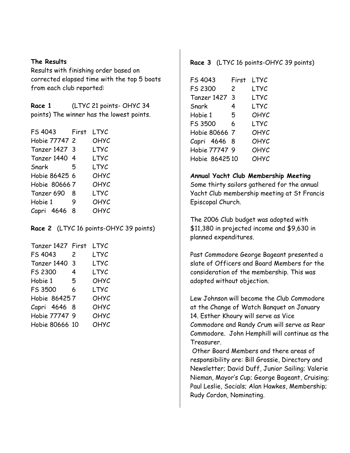#### **The Results**

Results with finishing order based on corrected elapsed time with the top 5 boats from each club reported:

**Race 1** (LTYC 21 points- OHYC 34 points) The winner has the lowest points.

| FS 4043       | First | LTYC |  |
|---------------|-------|------|--|
| Hobie 77747 2 |       | OHYC |  |
| Tanzer 1427 3 |       | LTYC |  |
| Tanzer 1440 4 |       | LTYC |  |
| Snark         | -5    | LTYC |  |
| Hobie 86425 6 |       | ОНУС |  |
| Hobie 806667  |       | OHYC |  |
| Tanzer 690    | -8    | LTYC |  |
| Hobie 1       | 9     | OHYC |  |
| Capri 4646    | 8     | OHYC |  |

**Race 2** (LTYC 16 points-OHYC 39 points)

| Tanzer 1427 First | LTYC |
|-------------------|------|
| 2                 | LTYC |
| 3                 | LTYC |
| 4                 | LTYC |
| 5                 | ОНУС |
| 6                 | LTYC |
| Hobie 864257      | OHYC |
| Capri 4646 8      | OHYC |
| Hobie 77747 9     | OHYC |
| Hobie 80666 10    | OHYC |
|                   |      |

#### **Race 3** (LTYC 16 points-OHYC 39 points)

| LTYC |
|------|
|      |
| LTYC |
| LTYC |
| OHYC |
| LTYC |
| OHYC |
| OHYC |
| OHYC |
| OHYC |
|      |

#### **Annual Yacht Club Membership Meeting**

Some thirty sailors gathered for the annual Yacht Club membership meeting at St Francis Episcopal Church.

The 2006 Club budget was adopted with \$11,380 in projected income and \$9,630 in planned expenditures.

Past Commodore George Bageant presented a slate of Officers and Board Members for the consideration of the membership. This was adopted without objection.

Lew Johnson will become the Club Commodore at the Change of Watch Banquet on January 14. Esther Khoury will serve as Vice Commodore and Randy Crum will serve as Rear Commodore. John Hemphill will continue as the Treasurer.

 Other Board Members and there areas of responsibility are: Bill Grossie, Directory and Newsletter; David Duff, Junior Sailing; Valerie Nieman, Mayor's Cup; George Bageant, Cruising; Paul Leslie, Socials; Alan Hawkes, Membership; Rudy Cordon, Nominating.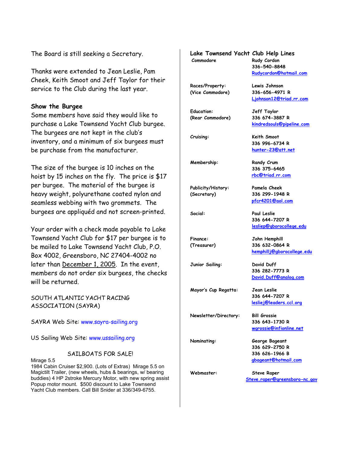The Board is still seeking a Secretary.

Thanks were extended to Jean Leslie, Pam Cheek, Keith Smoot and Jeff Taylor for their service to the Club during the last year.

#### **Show the Burgee**

Some members have said they would like to purchase a Lake Townsend Yacht Club burgee. The burgees are not kept in the club's inventory, and a minimum of six burgees must be purchase from the manufacturer.

The size of the burgee is 10 inches on the hoist by 15 inches on the fly. The price is \$17 per burgee. The material of the burgee is heavy weight, polyurethane coated nylon and seamless webbing with two grommets. The burgees are appliquéd and not screen-printed.

Your order with a check made payable to Lake Townsend Yacht Club for \$17 per burgee is to be mailed to Lake Townsend Yacht Club, P.O. Box 4002, Greensboro, NC 27404-4002 no later than December 1, 2005. In the event, members do not order six burgees, the checks will be returned.

SOUTH ATLANTIC YACHT RACING ASSOCIATION (SAYRA)

SAYRA Web Site: www.sayra-sailing.org

US Sailing Web Site: www.ussailing.org

#### SAILBOATS FOR SALE!

Mirage 5.5

1984 Cabin Cruiser \$2,900. (Lots of Extras) Mirage 5.5 on Magictilt Trailer, (new wheels, hubs & bearings, w/ bearing buddies) 4 HP 2stroke Mercury Motor, with new spring assist Popup motor mount. \$500 discount to Lake Townsend Yacht Club members. Call Bill Snider at 336/349-6755.

| Lake Townsend Yacht Club Help Lines<br>Commodore | Rudy Cordon<br>336-540-8848<br>Rudycordon@hotmail.com                      |
|--------------------------------------------------|----------------------------------------------------------------------------|
| Races/Property:<br>(Vice Commodore)              | Lewis Johnson<br>336-656-4971 R<br>Ljohnson12@triad.rr.com                 |
| <b>Education:</b><br>(Rear Commodore)            | Jeff Taylor<br>336 674-3887 R<br>kindredsouls@pipeline.com                 |
| Cruising:                                        | Keith Smoot<br>336 996-6734 R<br>hunter-23@att.net                         |
| Membership:                                      | Randy Crum<br>336 375-6465<br>rbc@triad.rr.com                             |
| Publicity/History:<br>(Secretary)                | Pamela Cheek<br>336 299-1948 R<br>pfcr4201@aol.com                         |
| Social:                                          | <b>Paul Leslie</b><br>336 644-7207 R<br>lesliep@gborocollege.edu           |
| <b>Finance:</b><br>(Treasurer)                   | John Hemphill<br>336 632-0864 R<br>hemphillj@gborocollege.edu              |
| Junior Sailing:                                  | David Duff<br>336 282-7773 R<br>David. Duff@analog.com                     |
| Mayor's Cup Regatta:                             | Jean Leslie<br>336 644-7207 R<br>lesliej@leaders.ccl.org                   |
| Newsletter/Directory:                            | <b>Bill Grossie</b><br>336 643-1730 R<br>wgrossie@infionline.net           |
| Nominating:                                      | George Bageant<br>336 629-2750 R<br>336 626-1966 B<br>gbageant@hotmail.com |
| Webmaster:                                       | <b>Steve Raper</b><br>Steve.raper@greensboro-nc.gov                        |